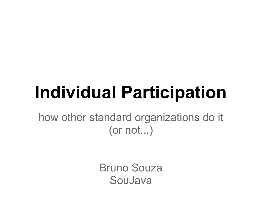# **Individual Participation**

how other standard organizations do it (or not...)

> Bruno Souza SouJava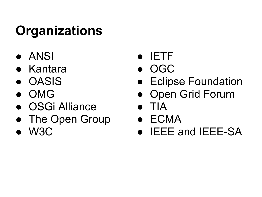## **Organizations**

- ANSI
- Kantara
- OASIS
- OMG
- OSGi Alliance
- The Open Group
- W3C
- **IETF**
- OGC
- **Eclipse Foundation**
- Open Grid Forum
- TIA
- $\bullet$  ECMA
- IEEE and IEEE-SA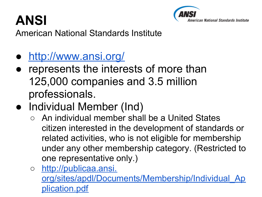## **ANSI**



American National Standards Institute

- <http://www.ansi.org/>
- represents the interests of more than 125,000 companies and 3.5 million professionals.
- Individual Member (Ind)
	- An individual member shall be a United States citizen interested in the development of standards or related activities, who is not eligible for membership under any other membership category. (Restricted to one representative only.)
	- [http://publicaa.ansi.](http://publicaa.ansi.org/sites/apdl/Documents/Membership/Individual_Application.pdf) [org/sites/apdl/Documents/Membership/Individual\\_Ap](http://publicaa.ansi.org/sites/apdl/Documents/Membership/Individual_Application.pdf) [plication.pdf](http://publicaa.ansi.org/sites/apdl/Documents/Membership/Individual_Application.pdf)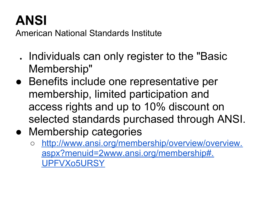## **ANSI**

American National Standards Institute

- . Individuals can only register to the "Basic Membership"
- Benefits include one representative per membership, limited participation and access rights and up to 10% discount on selected standards purchased through ANSI.
- Membership categories
	- [http://www.ansi.org/membership/overview/overview.](http://www.ansi.org/membership/overview/overview.aspx?menuid=2www.ansi.org/membership#.UPFVXo5URSY) [aspx?menuid=2www.ansi.org/membership#.](http://www.ansi.org/membership/overview/overview.aspx?menuid=2www.ansi.org/membership#.UPFVXo5URSY) [UPFVXo5URSY](http://www.ansi.org/membership/overview/overview.aspx?menuid=2www.ansi.org/membership#.UPFVXo5URSY)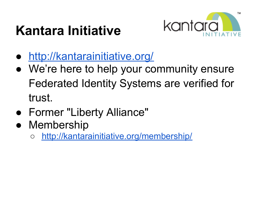## **Kantara Initiative**



- <http://kantarainitiative.org/>
- We're here to help your community ensure Federated Identity Systems are verified for trust.
- Former "Liberty Alliance"
- **Membership** 
	- <http://kantarainitiative.org/membership/>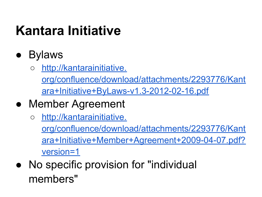## **Kantara Initiative**

- Bylaws
	- [http://kantarainitiative.](http://kantarainitiative.org/confluence/download/attachments/2293776/Kantara+Initiative+ByLaws-v1.3-2012-02-16.pdf) [org/confluence/download/attachments/2293776/Kant](http://kantarainitiative.org/confluence/download/attachments/2293776/Kantara+Initiative+ByLaws-v1.3-2012-02-16.pdf) [ara+Initiative+ByLaws-v1.3-2012-02-16.pdf](http://kantarainitiative.org/confluence/download/attachments/2293776/Kantara+Initiative+ByLaws-v1.3-2012-02-16.pdf)
- Member Agreement
	- [http://kantarainitiative.](http://kantarainitiative.org/confluence/download/attachments/2293776/Kantara+Initiative+Member+Agreement+2009-04-07.pdf?version=1) [org/confluence/download/attachments/2293776/Kant](http://kantarainitiative.org/confluence/download/attachments/2293776/Kantara+Initiative+Member+Agreement+2009-04-07.pdf?version=1) [ara+Initiative+Member+Agreement+2009-04-07.pdf?](http://kantarainitiative.org/confluence/download/attachments/2293776/Kantara+Initiative+Member+Agreement+2009-04-07.pdf?version=1) [version=1](http://kantarainitiative.org/confluence/download/attachments/2293776/Kantara+Initiative+Member+Agreement+2009-04-07.pdf?version=1)
- No specific provision for "individual members"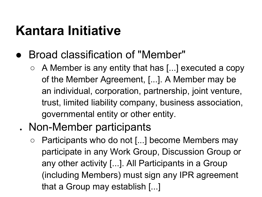## **Kantara Initiative**

- Broad classification of "Member"
	- $\circ$  A Member is any entity that has [...] executed a copy of the Member Agreement, [...]. A Member may be an individual, corporation, partnership, joint venture, trust, limited liability company, business association, governmental entity or other entity.
	- . Non-Member participants
		- Participants who do not [...] become Members may participate in any Work Group, Discussion Group or any other activity [...]. All Participants in a Group (including Members) must sign any IPR agreement that a Group may establish [...]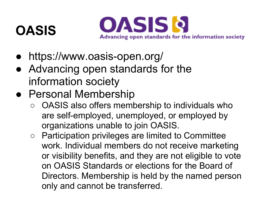## **OASIS**



- https://www.oasis-open.org/
- Advancing open standards for the information society
- Personal Membership
	- OASIS also offers membership to individuals who are self-employed, unemployed, or employed by organizations unable to join OASIS.
	- Participation privileges are limited to Committee work. Individual members do not receive marketing or visibility benefits, and they are not eligible to vote on OASIS Standards or elections for the Board of Directors. Membership is held by the named person only and cannot be transferred.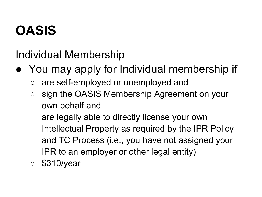## **OASIS**

Individual Membership

- You may apply for Individual membership if
	- are self-employed or unemployed and
	- sign the OASIS Membership Agreement on your own behalf and
	- are legally able to directly license your own Intellectual Property as required by the IPR Policy and TC Process (i.e., you have not assigned your IPR to an employer or other legal entity)
	- \$310/year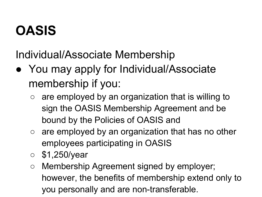## **OASIS**

Individual/Associate Membership

- You may apply for Individual/Associate membership if you:
	- $\circ$  are employed by an organization that is willing to sign the OASIS Membership Agreement and be bound by the Policies of OASIS and
	- $\circ$  are employed by an organization that has no other employees participating in OASIS
	- \$1,250/year
	- Membership Agreement signed by employer; however, the benefits of membership extend only to you personally and are non-transferable.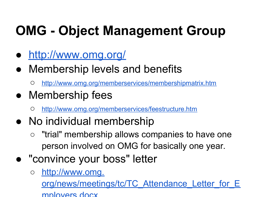## **OMG - Object Management Group**

- <http://www.omg.org/>
- Membership levels and benefits
	- <http://www.omg.org/memberservices/membershipmatrix.htm>
- Membership fees
	- <http://www.omg.org/memberservices/feestructure.htm>
- No individual membership
	- "trial" membership allows companies to have one person involved on OMG for basically one year.
- "convince your boss" letter
	- <u>[http://www.omg.](http://www.omg.org/news/meetings/tc/TC_Attendance_Letter_for_Employers.docx)</u>

org/news/meetings/tc/TC Attendance Letter for E [mployers.docx](http://www.omg.org/news/meetings/tc/TC_Attendance_Letter_for_Employers.docx)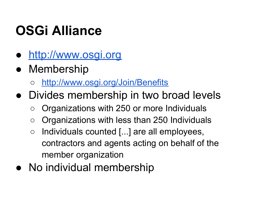## **OSGi Alliance**

- <http://www.osgi.org>
- **Membership** 
	- <http://www.osgi.org/Join/Benefits>
- Divides membership in two broad levels
	- Organizations with 250 or more Individuals
	- Organizations with less than 250 Individuals
	- Individuals counted [...] are all employees, contractors and agents acting on behalf of the member organization
- No individual membership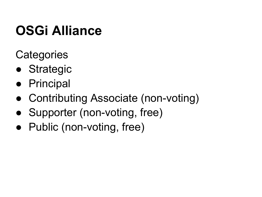## **OSGi Alliance**

**Categories** 

- Strategic
- Principal
- Contributing Associate (non-voting)
- Supporter (non-voting, free)
- Public (non-voting, free)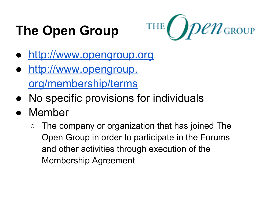## **The Open Group**



- <http://www.opengroup.org>
- [http://www.opengroup.](http://www.opengroup.org/membership/terms) [org/membership/terms](http://www.opengroup.org/membership/terms)
- No specific provisions for individuals
- Member
	- The company or organization that has joined The Open Group in order to participate in the Forums and other activities through execution of the Membership Agreement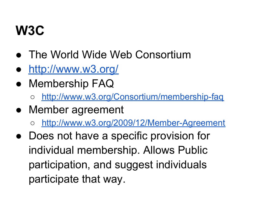## **W3C**

- The World Wide Web Consortium
- <http://www.w3.org/>
- Membership FAQ
	- <http://www.w3.org/Consortium/membership-faq>
- Member agreement
	- <http://www.w3.org/2009/12/Member-Agreement>
- Does not have a specific provision for individual membership. Allows Public participation, and suggest individuals participate that way.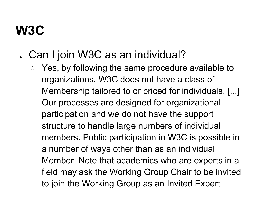## **W3C**

#### . Can I join W3C as an individual?

Yes, by following the same procedure available to organizations. W3C does not have a class of Membership tailored to or priced for individuals. [...] Our processes are designed for organizational participation and we do not have the support structure to handle large numbers of individual members. Public participation in W3C is possible in a number of ways other than as an individual Member. Note that academics who are experts in a field may ask the Working Group Chair to be invited to join the Working Group as an Invited Expert.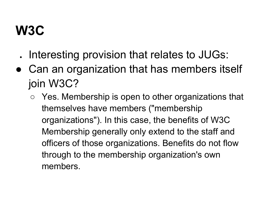## **W3C**

- Interesting provision that relates to JUGs:
- Can an organization that has members itself join W3C?
	- $\circ$  Yes. Membership is open to other organizations that themselves have members ("membership organizations"). In this case, the benefits of W3C Membership generally only extend to the staff and officers of those organizations. Benefits do not flow through to the membership organization's own members.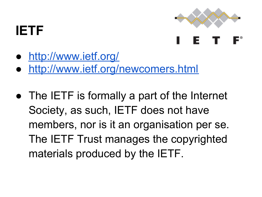#### **IETF**



- <http://www.ietf.org/>
- <http://www.ietf.org/newcomers.html>
- The IETF is formally a part of the Internet Society, as such, IETF does not have members, nor is it an organisation per se. The IETF Trust manages the copyrighted materials produced by the IETF.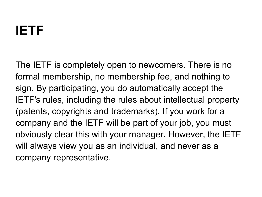## **IETF**

The IETF is completely open to newcomers. There is no formal membership, no membership fee, and nothing to sign. By participating, you do automatically accept the IETF's rules, including the rules about intellectual property (patents, copyrights and trademarks). If you work for a company and the IETF will be part of your job, you must obviously clear this with your manager. However, the IETF will always view you as an individual, and never as a company representative.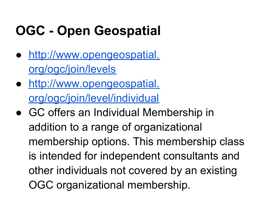## **OGC - Open Geospatial**

- [http://www.opengeospatial.](http://www.opengeospatial.org/ogc/join/levels) [org/ogc/join/levels](http://www.opengeospatial.org/ogc/join/levels)
- [http://www.opengeospatial.](http://www.opengeospatial.org/ogc/join/level/individual) [org/ogc/join/level/individual](http://www.opengeospatial.org/ogc/join/level/individual)
- GC offers an Individual Membership in addition to a range of organizational membership options. This membership class is intended for independent consultants and other individuals not covered by an existing OGC organizational membership.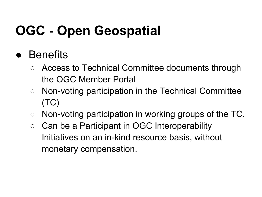## **OGC - Open Geospatial**

#### **Benefits**

- Access to Technical Committee documents through the OGC Member Portal
- Non-voting participation in the Technical Committee (TC)
- Non-voting participation in working groups of the TC.
- Can be a Participant in OGC Interoperability Initiatives on an in-kind resource basis, without monetary compensation.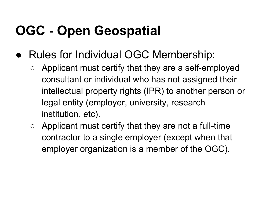## **OGC - Open Geospatial**

- Rules for Individual OGC Membership:
	- Applicant must certify that they are a self-employed consultant or individual who has not assigned their intellectual property rights (IPR) to another person or legal entity (employer, university, research institution, etc).
	- $\circ$  Applicant must certify that they are not a full-time contractor to a single employer (except when that employer organization is a member of the OGC).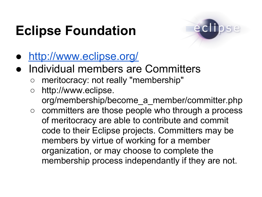## **Eclipse Foundation**



- <http://www.eclipse.org/>
- Individual members are Committers
	- meritocracy: not really "membership"
	- http://www.eclipse. org/membership/become\_a\_member/committer.php
	- committers are those people who through a process of meritocracy are able to contribute and commit code to their Eclipse projects. Committers may be members by virtue of working for a member organization, or may choose to complete the membership process independantly if they are not.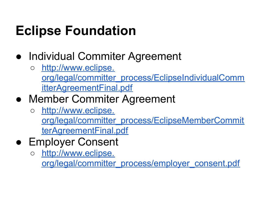## **Eclipse Foundation**

- Individual Commiter Agreement
	- [http://www.eclipse.](http://www.eclipse.org/legal/committer_process/EclipseIndividualCommitterAgreementFinal.pdf) [org/legal/committer\\_process/EclipseIndividualComm](http://www.eclipse.org/legal/committer_process/EclipseIndividualCommitterAgreementFinal.pdf) [itterAgreementFinal.pdf](http://www.eclipse.org/legal/committer_process/EclipseIndividualCommitterAgreementFinal.pdf)
- Member Commiter Agreement
	- [http://www.eclipse.](http://www.eclipse.org/legal/committer_process/EclipseMemberCommitterAgreementFinal.pdf) [org/legal/committer\\_process/EclipseMemberCommit](http://www.eclipse.org/legal/committer_process/EclipseMemberCommitterAgreementFinal.pdf) [terAgreementFinal.pdf](http://www.eclipse.org/legal/committer_process/EclipseMemberCommitterAgreementFinal.pdf)
- Employer Consent
	- [http://www.eclipse.](http://www.eclipse.org/legal/committer_process/employer_consent.pdf) [org/legal/committer\\_process/employer\\_consent.pdf](http://www.eclipse.org/legal/committer_process/employer_consent.pdf)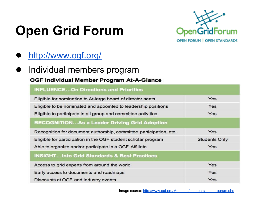## **Open Grid Forum**



- <http://www.ogf.org/>
- Individual members program

#### OGF Individual Member Program At-A-Glance

| <b>INFLUENCEOn Directions and Priorities</b>                       |                      |
|--------------------------------------------------------------------|----------------------|
| Eligible for nomination to At-large board of director seats        | Yes                  |
| Eligible to be nominated and appointed to leadership positions     | Yes                  |
| Eligible to participate in all group and committee activities      | Yes                  |
| <b>RECOGNITIONAs a Leader Driving Grid Adoption</b>                |                      |
| Recognition for document authorship, committee participation, etc. | Yes                  |
| Eligible for participation in the OGF student scholar program      | <b>Students Only</b> |
| Able to organize and/or participate in a OGF Affiliate             | Yes                  |
| <b>INSIGHTInto Grid Standards &amp; Best Practices</b>             |                      |
| Access to grid experts from around the world                       | Yes                  |
| Early access to documents and roadmaps                             | Yes                  |
| Discounts at OGF and industry events                               | Yes                  |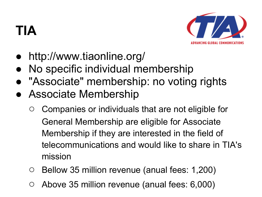## **TIA**



- http://www.tiaonline.org/
- No specific individual membership
- "Associate" membership: no voting rights
- Associate Membership
	- Companies or individuals that are not eligible for General Membership are eligible for Associate Membership if they are interested in the field of telecommunications and would like to share in TIA's mission
	- Bellow 35 million revenue (anual fees: 1,200)
	- Above 35 million revenue (anual fees: 6,000)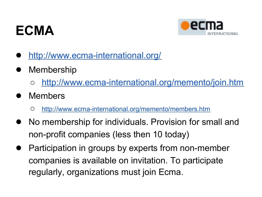## **ECMA**



- <http://www.ecma-international.org/>
- **Membership** 
	- <http://www.ecma-international.org/memento/join.htm>
- **Members** 
	- <http://www.ecma-international.org/memento/members.htm>
- No membership for individuals. Provision for small and non-profit companies (less then 10 today)
- Participation in groups by experts from non-member companies is available on invitation. To participate regularly, organizations must join Ecma.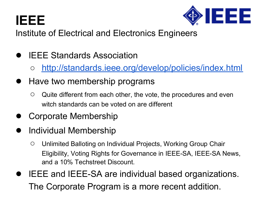



Institute of Electrical and Electronics Engineers

- **IEEE Standards Association** 
	- <http://standards.ieee.org/develop/policies/index.html>
- Have two membership programs
	- $\circ$  Quite different from each other, the vote, the procedures and even witch standards can be voted on are different
- Corporate Membership
- **Individual Membership** 
	- Unlimited Balloting on Individual Projects, Working Group Chair Eligibility, Voting Rights for Governance in IEEE-SA, IEEE-SA News, and a 10% Techstreet Discount.
- IEEE and IEEE-SA are individual based organizations. The Corporate Program is a more recent addition.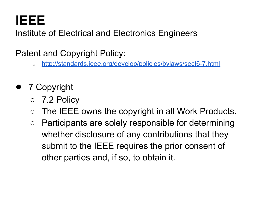## **IEEE**

Institute of Electrical and Electronics Engineers

#### Patent and Copyright Policy:

- <http://standards.ieee.org/develop/policies/bylaws/sect6-7.html>
- 7 Copyright
	- 7.2 Policy
	- The IEEE owns the copyright in all Work Products.
	- Participants are solely responsible for determining whether disclosure of any contributions that they submit to the IEEE requires the prior consent of other parties and, if so, to obtain it.